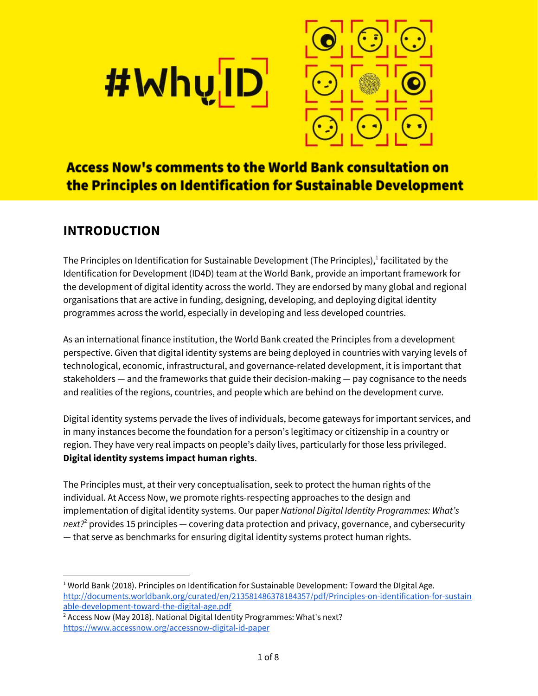



# **Access Now's comments to the World Bank consultation on** the Principles on Identification for Sustainable Development

# **INTRODUCTION**

The Principles on Identification for Sustainable Development (The Principles), $^1$  facilitated by the Identification for Development (ID4D) team at the World Bank, provide an important framework for the development of digital identity across the world. They are endorsed by many global and regional organisations that are active in funding, designing, developing, and deploying digital identity programmes across the world, especially in developing and less developed countries.

As an international finance institution, the World Bank created the Principles from a development perspective. Given that digital identity systems are being deployed in countries with varying levels of technological, economic, infrastructural, and governance-related development, it is important that stakeholders — and the frameworks that guide their decision-making — pay cognisance to the needs and realities of the regions, countries, and people which are behind on the development curve.

Digital identity systems pervade the lives of individuals, become gateways for important services, and in many instances become the foundation for a person's legitimacy or citizenship in a country or region. They have very real impacts on people's daily lives, particularly for those less privileged. **Digital identity systems impact human rights**.

The Principles must, at their very conceptualisation, seek to protect the human rights of the individual. At Access Now, we promote rights-respecting approaches to the design and implementation of digital identity systems. Our paper *National Digital Identity Programmes: What's next?* provides 15 principles — covering data protection and privacy, governance, and cybersecurity 2 — that serve as benchmarks for ensuring digital identity systems protect human rights.

<sup>&</sup>lt;sup>1</sup> World Bank (2018). Principles on Identification for Sustainable Development: Toward the DIgital Age. [http://documents.worldbank.org/curated/en/213581486378184357/pdf/Principles-on-identification-for-sustain](http://documents.worldbank.org/curated/en/213581486378184357/pdf/Principles-on-identification-for-sustainable-development-toward-the-digital-age.pdf) [able-development-toward-the-digital-age.pdf](http://documents.worldbank.org/curated/en/213581486378184357/pdf/Principles-on-identification-for-sustainable-development-toward-the-digital-age.pdf)

<sup>&</sup>lt;sup>2</sup> Access Now (May 2018). National Digital Identity Programmes: What's next? <https://www.accessnow.org/accessnow-digital-id-paper>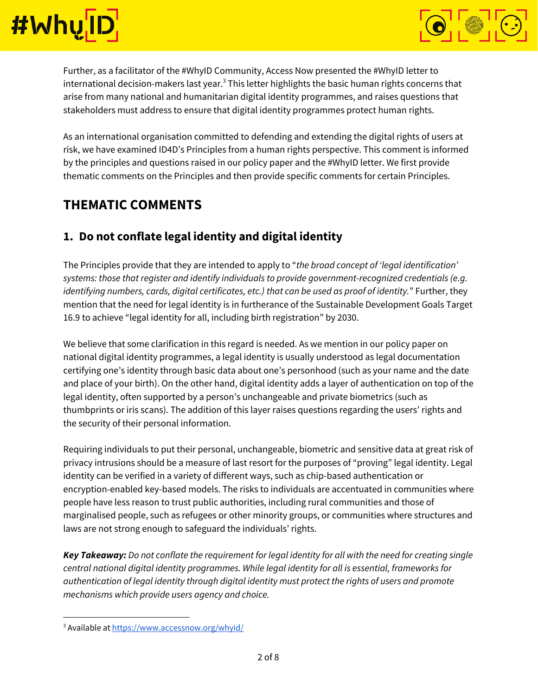



Further, as a facilitator of the #WhyID Community, Access Now presented the #WhyID letter to international decision-makers last year. $^3$  This letter highlights the basic human rights concerns that arise from many national and humanitarian digital identity programmes, and raises questions that stakeholders must address to ensure that digital identity programmes protect human rights.

As an international organisation committed to defending and extending the digital rights of users at risk, we have examined ID4D's Principles from a human rights perspective. This comment is informed by the principles and questions raised in our policy paper and the #WhyID letter. We first provide thematic comments on the Principles and then provide specific comments for certain Principles.

## **THEMATIC COMMENTS**

### **1. Do not conflate legal identity and digital identity**

The Principles provide that they are intended to apply to "*the broad concept of 'legal identification' systems: those that register and identify individuals to provide government-recognized credentials (e.g. identifying numbers, cards, digital certificates, etc.) that can be used as proof of identity.*" Further, they mention that the need for legal identity is in furtherance of the Sustainable Development Goals Target 16.9 to achieve "legal identity for all, including birth registration" by 2030.

We believe that some clarification in this regard is needed. As we mention in our policy paper on national digital identity programmes, a legal identity is usually understood as legal documentation certifying one's identity through basic data about one's personhood (such as your name and the date and place of your birth). On the other hand, digital identity adds a layer of authentication on top of the legal identity, often supported by a person's unchangeable and private biometrics (such as thumbprints or iris scans). The addition of this layer raises questions regarding the users' rights and the security of their personal information.

Requiring individuals to put their personal, unchangeable, biometric and sensitive data at great risk of privacy intrusions should be a measure of last resort for the purposes of "proving" legal identity. Legal identity can be verified in a variety of different ways, such as chip-based authentication or encryption-enabled key-based models. The risks to individuals are accentuated in communities where people have less reason to trust public authorities, including rural communities and those of marginalised people, such as refugees or other minority groups, or communities where structures and laws are not strong enough to safeguard the individuals' rights.

Key Takeaway: Do not conflate the requirement for legal identity for all with the need for creating single *central national digital identity programmes. While legal identity for all is essential, frameworks for authentication of legal identity through digital identity must protect the rights of users and promote mechanisms which provide users agency and choice.*

<sup>&</sup>lt;sup>3</sup> Available at <https://www.accessnow.org/whyid/>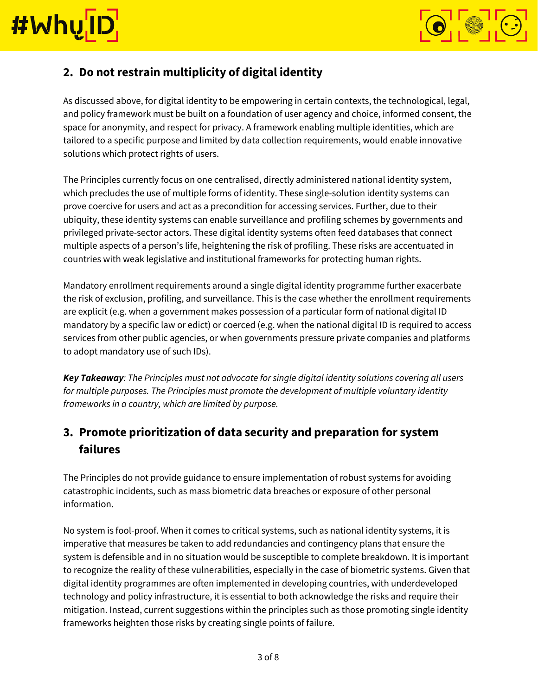



### **2. Do not restrain multiplicity of digital identity**

As discussed above, for digital identity to be empowering in certain contexts, the technological, legal, and policy framework must be built on a foundation of user agency and choice, informed consent, the space for anonymity, and respect for privacy. A framework enabling multiple identities, which are tailored to a specific purpose and limited by data collection requirements, would enable innovative solutions which protect rights of users.

The Principles currently focus on one centralised, directly administered national identity system, which precludes the use of multiple forms of identity. These single-solution identity systems can prove coercive for users and act as a precondition for accessing services. Further, due to their ubiquity, these identity systems can enable surveillance and profiling schemes by governments and privileged private-sector actors. These digital identity systems often feed databases that connect multiple aspects of a person's life, heightening the risk of profiling. These risks are accentuated in countries with weak legislative and institutional frameworks for protecting human rights.

Mandatory enrollment requirements around a single digital identity programme further exacerbate the risk of exclusion, profiling, and surveillance. This is the case whether the enrollment requirements are explicit (e.g. when a government makes possession of a particular form of national digital ID mandatory by a specific law or edict) or coerced (e.g. when the national digital ID is required to access services from other public agencies, or when governments pressure private companies and platforms to adopt mandatory use of such IDs).

*Key Takeaway: The Principles must not advocate for single digital identity solutions covering all users for multiple purposes. The Principles must promote the development of multiple voluntary identity frameworks in a country, which are limited by purpose.*

## **3. Promote prioritization of data security and preparation for system failures**

The Principles do not provide guidance to ensure implementation of robust systems for avoiding catastrophic incidents, such as mass biometric data breaches or exposure of other personal information.

No system is fool-proof. When it comes to critical systems, such as national identity systems, it is imperative that measures be taken to add redundancies and contingency plans that ensure the system is defensible and in no situation would be susceptible to complete breakdown. It is important to recognize the reality of these vulnerabilities, especially in the case of biometric systems. Given that digital identity programmes are often implemented in developing countries, with underdeveloped technology and policy infrastructure, it is essential to both acknowledge the risks and require their mitigation. Instead, current suggestions within the principles such as those promoting single identity frameworks heighten those risks by creating single points of failure.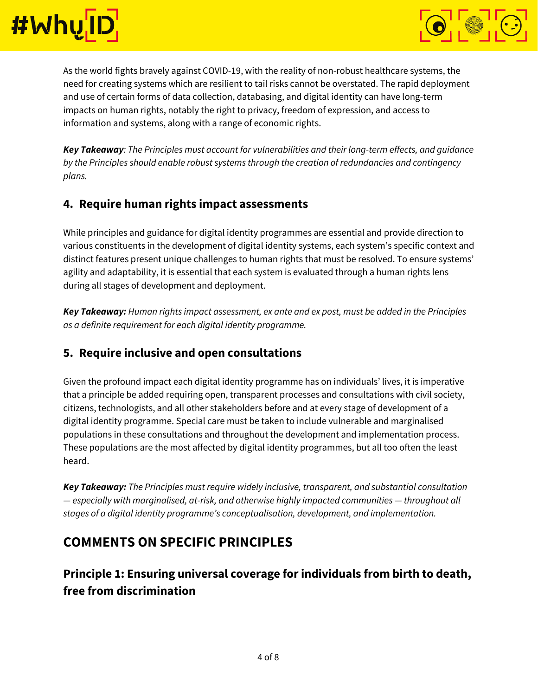



As the world fights bravely against COVID-19, with the reality of non-robust healthcare systems, the need for creating systems which are resilient to tail risks cannot be overstated. The rapid deployment and use of certain forms of data collection, databasing, and digital identity can have long-term impacts on human rights, notably the right to privacy, freedom of expression, and access to information and systems, along with a range of economic rights.

*Key Takeaway: The Principles must account for vulnerabilities and their long-term effects, and guidance by the Principles should enable robust systems through the creation of redundancies and contingency plans.*

#### **4. Require human rights impact assessments**

While principles and guidance for digital identity programmes are essential and provide direction to various constituents in the development of digital identity systems, each system's specific context and distinct features present unique challenges to human rights that must be resolved. To ensure systems' agility and adaptability, it is essential that each system is evaluated through a human rights lens during all stages of development and deployment.

*Key Takeaway: Human rights impact assessment, ex ante and ex post, must be added in the Principles as a definite requirement for each digital identity programme.*

#### **5. Require inclusive and open consultations**

Given the profound impact each digital identity programme has on individuals' lives, it is imperative that a principle be added requiring open, transparent processes and consultations with civil society, citizens, technologists, and all other stakeholders before and at every stage of development of a digital identity programme. Special care must be taken to include vulnerable and marginalised populations in these consultations and throughout the development and implementation process. These populations are the most affected by digital identity programmes, but all too often the least heard.

*Key Takeaway: The Principles must require widely inclusive, transparent, and substantial consultation — especially with marginalised, at-risk, and otherwise highly impacted communities — throughout all stages of a digital identity programme's conceptualisation, development, and implementation.*

## **COMMENTS ON SPECIFIC PRINCIPLES**

## **Principle 1: Ensuring universal coverage for individuals from birth to death, free from discrimination**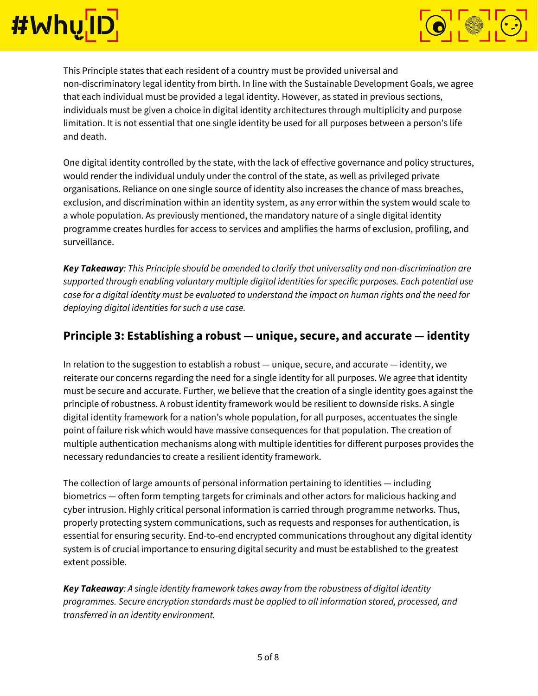



This Principle states that each resident of a country must be provided universal and non-discriminatory legal identity from birth. In line with the Sustainable Development Goals, we agree that each individual must be provided a legal identity. However, as stated in previous sections, individuals must be given a choice in digital identity architectures through multiplicity and purpose limitation. It is not essential that one single identity be used for all purposes between a person's life and death.

One digital identity controlled by the state, with the lack of effective governance and policy structures, would render the individual unduly under the control of the state, as well as privileged private organisations. Reliance on one single source of identity also increases the chance of mass breaches, exclusion, and discrimination within an identity system, as any error within the system would scale to a whole population. As previously mentioned, the mandatory nature of a single digital identity programme creates hurdles for access to services and amplifies the harms of exclusion, profiling, and surveillance.

*Key Takeaway: This Principle should be amended to clarify that universality and non-discrimination are supported through enabling voluntary multiple digital identities for specific purposes. Each potential use* case for a digital identity must be evaluated to understand the impact on human rights and the need for *deploying digital identities for such a use case.*

#### **Principle 3: Establishing a robust — unique, secure, and accurate — identity**

In relation to the suggestion to establish a robust — unique, secure, and accurate — identity, we reiterate our concerns regarding the need for a single identity for all purposes. We agree that identity must be secure and accurate. Further, we believe that the creation of a single identity goes against the principle of robustness. A robust identity framework would be resilient to downside risks. A single digital identity framework for a nation's whole population, for all purposes, accentuates the single point of failure risk which would have massive consequences for that population. The creation of multiple authentication mechanisms along with multiple identities for different purposes provides the necessary redundancies to create a resilient identity framework.

The collection of large amounts of personal information pertaining to identities — including biometrics — often form tempting targets for criminals and other actors for malicious hacking and cyber intrusion. Highly critical personal information is carried through programme networks. Thus, properly protecting system communications, such as requests and responses for authentication, is essential for ensuring security. End-to-end encrypted communications throughout any digital identity system is of crucial importance to ensuring digital security and must be established to the greatest extent possible.

*Key Takeaway: A single identity framework takes away from the robustness of digital identity programmes. Secure encryption standards must be applied to all information stored, processed, and transferred in an identity environment.*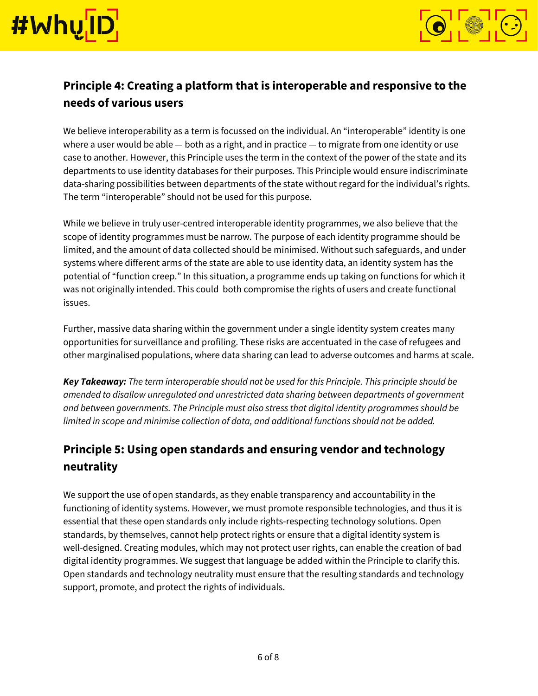



## **Principle 4: Creating a platform that is interoperable and responsive to the needs of various users**

We believe interoperability as a term is focussed on the individual. An "interoperable" identity is one where a user would be able - both as a right, and in practice - to migrate from one identity or use case to another. However, this Principle uses the term in the context of the power of the state and its departments to use identity databases for their purposes. This Principle would ensure indiscriminate data-sharing possibilities between departments of the state without regard for the individual's rights. The term "interoperable" should not be used for this purpose.

While we believe in truly user-centred interoperable identity programmes, we also believe that the scope of identity programmes must be narrow. The purpose of each identity programme should be limited, and the amount of data collected should be minimised. Without such safeguards, and under systems where different arms of the state are able to use identity data, an identity system has the potential of "function creep." In this situation, a programme ends up taking on functions for which it was not originally intended. This could both compromise the rights of users and create functional issues.

Further, massive data sharing within the government under a single identity system creates many opportunities for surveillance and profiling. These risks are accentuated in the case of refugees and other marginalised populations, where data sharing can lead to adverse outcomes and harms at scale.

*Key Takeaway: The term interoperable should not be used for this Principle. This principle should be amended to disallow unregulated and unrestricted data sharing between departments of government and between governments. The Principle must also stress that digital identity programmes should be limited in scope and minimise collection of data, and additional functions should not be added.*

## **Principle 5: Using open standards and ensuring vendor and technology neutrality**

We support the use of open standards, as they enable transparency and accountability in the functioning of identity systems. However, we must promote responsible technologies, and thus it is essential that these open standards only include rights-respecting technology solutions. Open standards, by themselves, cannot help protect rights or ensure that a digital identity system is well-designed. Creating modules, which may not protect user rights, can enable the creation of bad digital identity programmes. We suggest that language be added within the Principle to clarify this. Open standards and technology neutrality must ensure that the resulting standards and technology support, promote, and protect the rights of individuals.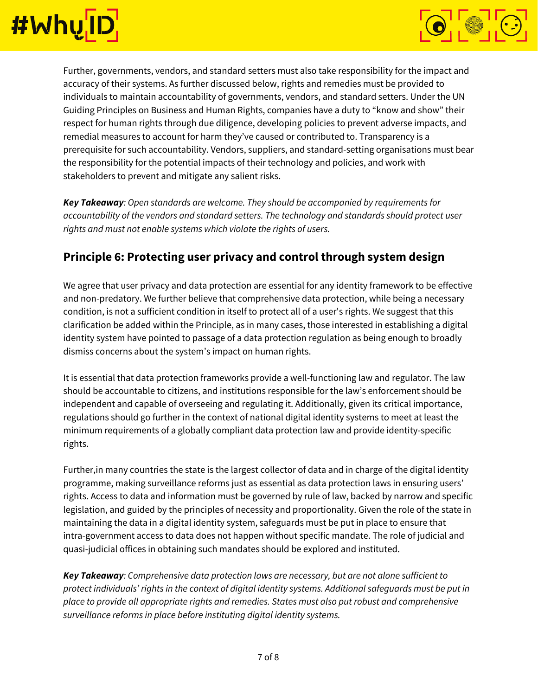



Further, governments, vendors, and standard setters must also take responsibility for the impact and accuracy of their systems. As further discussed below, rights and remedies must be provided to individuals to maintain accountability of governments, vendors, and standard setters. Under the UN Guiding Principles on Business and Human Rights, companies have a duty to "know and show" their respect for human rights through due diligence, developing policies to prevent adverse impacts, and remedial measures to account for harm they've caused or contributed to. Transparency is a prerequisite for such accountability. Vendors, suppliers, and standard-setting organisations must bear the responsibility for the potential impacts of their technology and policies, and work with stakeholders to prevent and mitigate any salient risks.

*Key Takeaway: Open standards are welcome. They should be accompanied by requirements for accountability of the vendors and standard setters. The technology and standards should protect user rights and must not enable systems which violate the rights of users.*

### **Principle 6: Protecting user privacy and control through system design**

We agree that user privacy and data protection are essential for any identity framework to be effective and non-predatory. We further believe that comprehensive data protection, while being a necessary condition, is not a sufficient condition in itself to protect all of a user's rights. We suggest that this clarification be added within the Principle, as in many cases, those interested in establishing a digital identity system have pointed to passage of a data protection regulation as being enough to broadly dismiss concerns about the system's impact on human rights.

It is essential that data protection frameworks provide a well-functioning law and regulator. The law should be accountable to citizens, and institutions responsible for the law's enforcement should be independent and capable of overseeing and regulating it. Additionally, given its critical importance, regulations should go further in the context of national digital identity systems to meet at least the minimum requirements of a globally compliant data protection law and provide identity-specific rights.

Further,in many countries the state is the largest collector of data and in charge of the digital identity programme, making surveillance reforms just as essential as data protection laws in ensuring users' rights. Access to data and information must be governed by rule of law, backed by narrow and specific legislation, and guided by the principles of necessity and proportionality. Given the role of the state in maintaining the data in a digital identity system, safeguards must be put in place to ensure that intra-government access to data does not happen without specific mandate. The role of judicial and quasi-judicial offices in obtaining such mandates should be explored and instituted.

*Key Takeaway: Comprehensive data protection laws are necessary, but are not alone sufficient to protect individuals' rights in the context of digital identity systems. Additional safeguards must be put in place to provide all appropriate rights and remedies. States must also put robust and comprehensive surveillance reforms in place before instituting digital identity systems.*